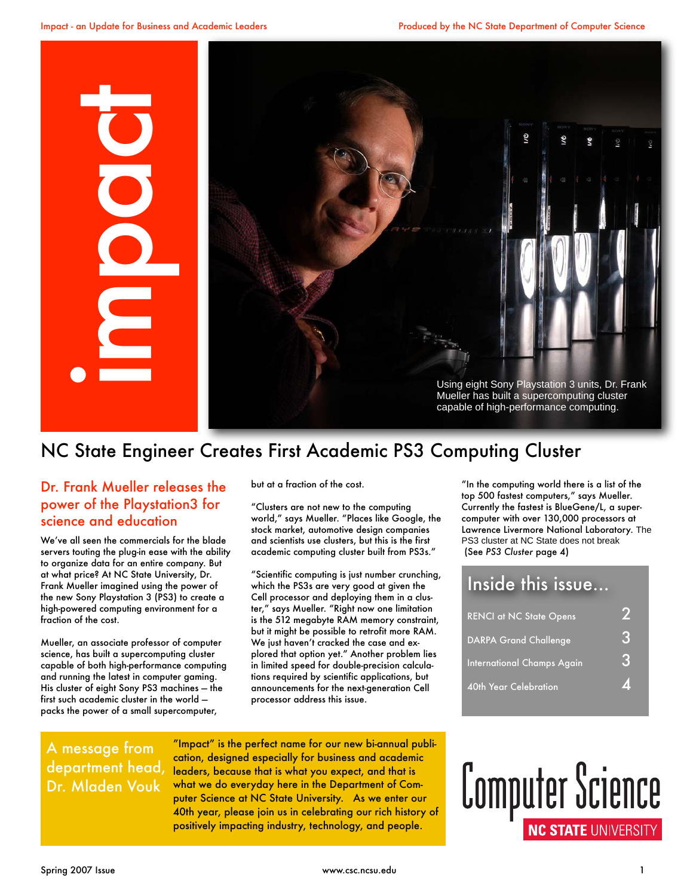

## NC State Engineer Creates First Academic PS3 Computing Cluster

#### Dr. Frank Mueller releases the power of the Playstation3 for science and education

We've all seen the commercials for the blade servers touting the plug-in ease with the ability to organize data for an entire company. But at what price? At NC State University, Dr. Frank Mueller imagined using the power of the new Sony Playstation 3 (PS3) to create a high-powered computing environment for a fraction of the cost.

Mueller, an associate professor of computer science, has built a supercomputing cluster capable of both high-performance computing and running the latest in computer gaming. His cluster of eight Sony PS3 machines — the first such academic cluster in the world packs the power of a small supercomputer,

but at a fraction of the cost.

"Clusters are not new to the computing world," says Mueller. "Places like Google, the stock market, automotive design companies and scientists use clusters, but this is the first academic computing cluster built from PS3s."

"Scientific computing is just number crunching, which the PS3s are very good at given the Cell processor and deploying them in a cluster," says Mueller. "Right now one limitation is the 512 megabyte RAM memory constraint, but it might be possible to retrofit more RAM. We just haven't cracked the case and explored that option yet." Another problem lies in limited speed for double-precision calculations required by scientific applications, but announcements for the next-generation Cell processor address this issue.

"In the computing world there is a list of the top 500 fastest computers," says Mueller. Currently the fastest is BlueGene/L, a supercomputer with over 130,000 processors at Lawrence Livermore National Laboratory. The PS3 cluster at NC State does not break (See *PS3 Cluster* page 4)

### Inside this issue...

| <b>RENCI at NC State Opens</b>    |  |
|-----------------------------------|--|
| <b>DARPA Grand Challenge</b>      |  |
| <b>International Champs Again</b> |  |
| 40th Year Celebration             |  |

#### A message from department head, Dr. Mladen Vouk

"Impact" is the perfect name for our new bi-annual publication, designed especially for business and academic leaders, because that is what you expect, and that is what we do everyday here in the Department of Computer Science at NC State University. As we enter our 40th year, please join us in celebrating our rich history of positively impacting industry, technology, and people.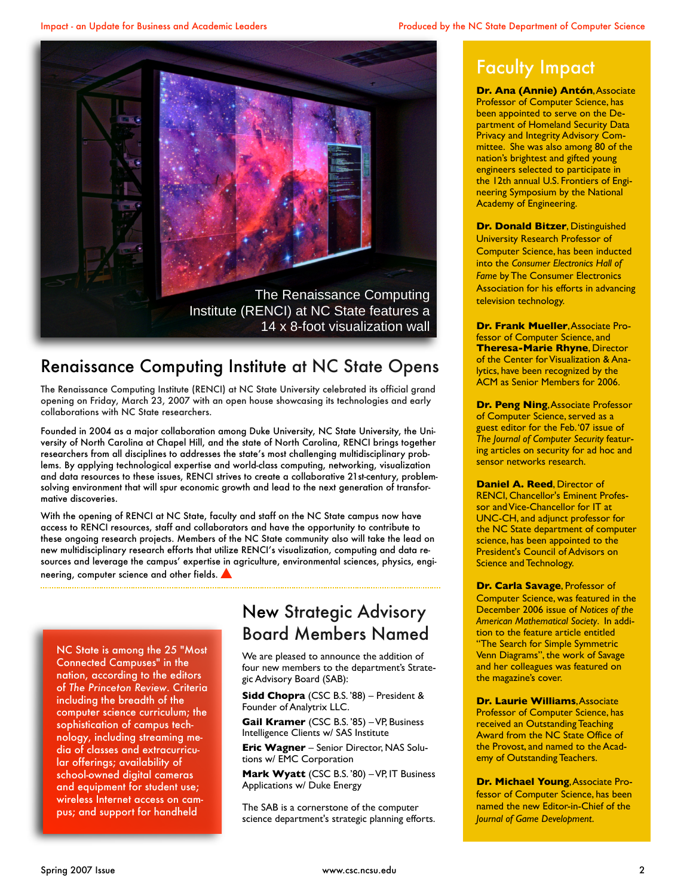

### Renaissance Computing Institute at NC State Opens

The Renaissance Computing Institute (RENCI) at NC State University celebrated its official grand opening on Friday, March 23, 2007 with an open house showcasing its technologies and early collaborations with NC State researchers.

Founded in 2004 as a major collaboration among Duke University, NC State University, the University of North Carolina at Chapel Hill, and the state of North Carolina, RENCI brings together researchers from all disciplines to addresses the state's most challenging multidisciplinary problems. By applying technological expertise and world-class computing, networking, visualization and data resources to these issues, RENCI strives to create a collaborative 21st-century, problemsolving environment that will spur economic growth and lead to the next generation of transformative discoveries.

With the opening of RENCI at NC State, faculty and staff on the NC State campus now have access to RENCI resources, staff and collaborators and have the opportunity to contribute to these ongoing research projects. Members of the NC State community also will take the lead on new multidisciplinary research efforts that utilize RENCI's visualization, computing and data resources and leverage the campus' expertise in agriculture, environmental sciences, physics, engineering, computer science and other fields.

NC State is among the 25 "Most Connected Campuses" in the nation, according to the editors of *The Princeton Review*. Criteria including the breadth of the computer science curriculum; the sophistication of campus technology, including streaming media of classes and extracurricular offerings; availability of school-owned digital cameras and equipment for student use; wireless Internet access on campus; and support for handheld

## New Strategic Advisory Board Members Named

We are pleased to announce the addition of four new members to the department's Strategic Advisory Board (SAB):

**Sidd Chopra** (CSC B.S. '88) – President & Founder of Analytrix LLC.

**Gail Kramer** (CSC B.S. '85) – VP, Business Intelligence Clients w/ SAS Institute

**Eric Wagner** – Senior Director, NAS Solutions w/ EMC Corporation

**Mark Wyatt** (CSC B.S. '80) – VP, IT Business Applications w/ Duke Energy

The SAB is a cornerstone of the computer science department's strategic planning efforts.

## Faculty Impact

**Dr. Ana (Annie) Antón**, Associate Professor of Computer Science, has been appointed to serve on the Department of Homeland Security Data Privacy and Integrity Advisory Committee. She was also among 80 of the nation's brightest and gifted young engineers selected to participate in the 12th annual U.S. Frontiers of Engineering Symposium by the National Academy of Engineering.

**Dr. Donald Bitzer**, Distinguished University Research Professor of Computer Science, has been inducted into the *Consumer Electronics Hall of Fame* by The Consumer Electronics Association for his efforts in advancing television technology.

**Dr. Frank Mueller**, Associate Professor of Computer Science, and **Theresa-Marie Rhyne**, Director of the Center for Visualization & Analytics, have been recognized by the ACM as Senior Members for 2006.

**Dr. Peng Ning, Associate Professor** of Computer Science, served as a guest editor for the Feb. '07 issue of *The Journal of Computer Security* featuring articles on security for ad hoc and sensor networks research.

**Daniel A. Reed**, Director of RENCI, Chancellor's Eminent Professor and Vice-Chancellor for IT at UNC-CH, and adjunct professor for the NC State department of computer science, has been appointed to the President's Council of Advisors on Science and Technology.

**Dr. Carla Savage**, Professor of Computer Science, was featured in the December 2006 issue of *Notices of the American Mathematical Society*. In addition to the feature article entitled "The Search for Simple Symmetric Venn Diagrams", the work of Savage and her colleagues was featured on the magazine's cover.

**Dr. Laurie Williams**, Associate Professor of Computer Science, has received an Outstanding Teaching Award from the NC State Office of the Provost, and named to the Academy of Outstanding Teachers.

**Dr. Michael Young**, Associate Professor of Computer Science, has been named the new Editor-in-Chief of the *Journal of Game Development*.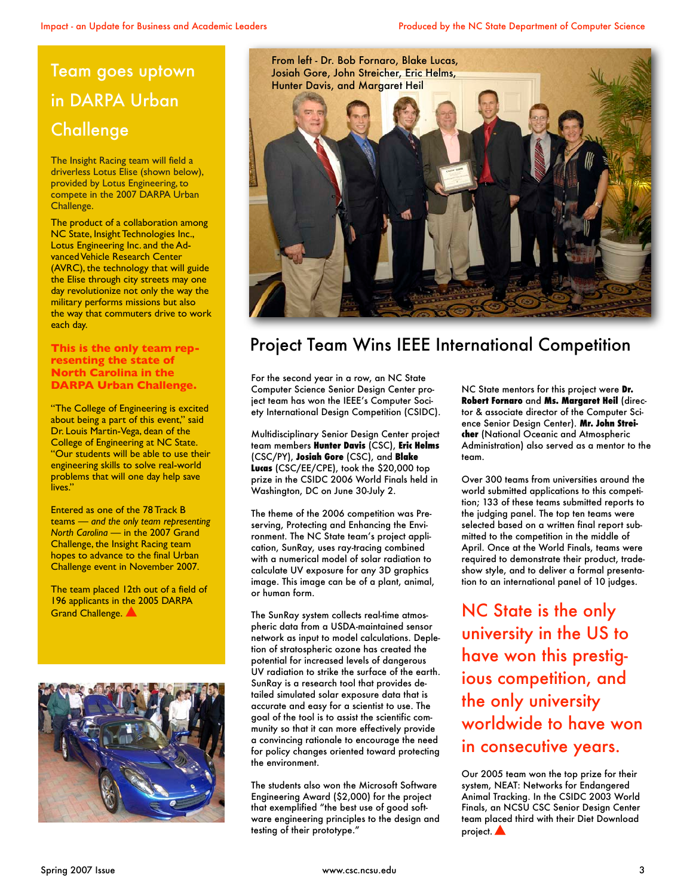# Team goes uptown in DARPA Urban **Challenge**

The Insight Racing team will field a driverless Lotus Elise (shown below), provided by Lotus Engineering, to compete in the 2007 DARPA Urban Challenge.

The product of a collaboration among NC State, Insight Technologies Inc., Lotus Engineering Inc. and the Advanced Vehicle Research Center (AVRC), the technology that will guide the Elise through city streets may one day revolutionize not only the way the military performs missions but also the way that commuters drive to work each day.

#### **This is the only team representing the state of North Carolina in the DARPA Urban Challenge.**

"The College of Engineering is excited about being a part of this event," said Dr. Louis Martin-Vega, dean of the College of Engineering at NC State. "Our students will be able to use their engineering skills to solve real-world problems that will one day help save lives."

Entered as one of the 78 Track B teams — *and the only team representing North Carolina* — in the 2007 Grand Challenge, the Insight Racing team hopes to advance to the final Urban Challenge event in November 2007.

The team placed 12th out of a field of 196 applicants in the 2005 DARPA Grand Challenge.





# Project Team Wins IEEE International Competition

For the second year in a row, an NC State Computer Science Senior Design Center project team has won the IEEE's Computer Society International Design Competition (CSIDC).

Multidisciplinary Senior Design Center project team members **Hunter Davis** (CSC), **Eric Helms** (CSC/PY), **Josiah Gore** (CSC), and **Blake Lucas** (CSC/EE/CPE), took the \$20,000 top prize in the CSIDC 2006 World Finals held in Washington, DC on June 30-July 2.

The theme of the 2006 competition was Preserving, Protecting and Enhancing the Environment. The NC State team's project application, SunRay, uses ray-tracing combined with a numerical model of solar radiation to calculate UV exposure for any 3D graphics image. This image can be of a plant, animal, or human form.

The SunRay system collects real-time atmospheric data from a USDA-maintained sensor network as input to model calculations. Depletion of stratospheric ozone has created the potential for increased levels of dangerous UV radiation to strike the surface of the earth. SunRay is a research tool that provides detailed simulated solar exposure data that is accurate and easy for a scientist to use. The goal of the tool is to assist the scientific community so that it can more effectively provide a convincing rationale to encourage the need for policy changes oriented toward protecting the environment.

The students also won the Microsoft Software Engineering Award (\$2,000) for the project that exemplified "the best use of good software engineering principles to the design and testing of their prototype."

NC State mentors for this project were **Dr. Robert Fornaro** and **Ms. Margaret Heil** (director & associate director of the Computer Science Senior Design Center). **Mr. John Streicher** (National Oceanic and Atmospheric Administration) also served as a mentor to the team.

Over 300 teams from universities around the world submitted applications to this competition; 133 of these teams submitted reports to the judging panel. The top ten teams were selected based on a written final report submitted to the competition in the middle of April. Once at the World Finals, teams were required to demonstrate their product, tradeshow style, and to deliver a formal presentation to an international panel of 10 judges.

NC State is the only university in the US to have won this prestigious competition, and the only university worldwide to have won in consecutive years.

Our 2005 team won the top prize for their system, NEAT: Networks for Endangered Animal Tracking. In the CSIDC 2003 World Finals, an NCSU CSC Senior Design Center team placed third with their Diet Download project.